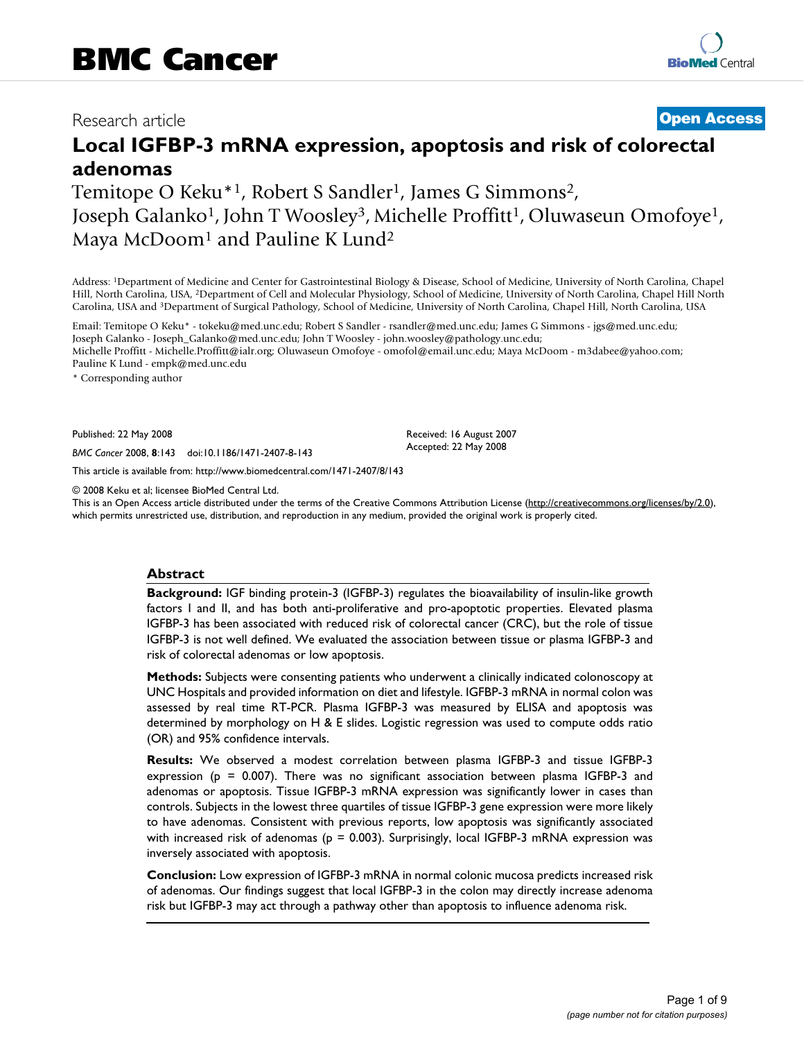## Research article **[Open Access](http://www.biomedcentral.com/info/about/charter/)**

# **Local IGFBP-3 mRNA expression, apoptosis and risk of colorectal adenomas**

Temitope O Keku<sup>\*1</sup>, Robert S Sandler<sup>1</sup>, James G Simmons<sup>2</sup>, Joseph Galanko<sup>1</sup>, John T Woosley<sup>3</sup>, Michelle Proffitt<sup>1</sup>, Oluwaseun Omofoye<sup>1</sup>, Maya McDoom<sup>1</sup> and Pauline K Lund<sup>2</sup>

Address: 1Department of Medicine and Center for Gastrointestinal Biology & Disease, School of Medicine, University of North Carolina, Chapel Hill, North Carolina, USA, 2Department of Cell and Molecular Physiology, School of Medicine, University of North Carolina, Chapel Hill North Carolina, USA and 3Department of Surgical Pathology, School of Medicine, University of North Carolina, Chapel Hill, North Carolina, USA

Email: Temitope O Keku\* - tokeku@med.unc.edu; Robert S Sandler - rsandler@med.unc.edu; James G Simmons - jgs@med.unc.edu; Joseph Galanko - Joseph\_Galanko@med.unc.edu; John T Woosley - john.woosley@pathology.unc.edu; Michelle Proffitt - Michelle.Proffitt@ialr.org; Oluwaseun Omofoye - omofol@email.unc.edu; Maya McDoom - m3dabee@yahoo.com; Pauline K Lund - empk@med.unc.edu

\* Corresponding author

Published: 22 May 2008

*BMC Cancer* 2008, **8**:143 doi:10.1186/1471-2407-8-143

[This article is available from: http://www.biomedcentral.com/1471-2407/8/143](http://www.biomedcentral.com/1471-2407/8/143)

© 2008 Keku et al; licensee BioMed Central Ltd.

This is an Open Access article distributed under the terms of the Creative Commons Attribution License [\(http://creativecommons.org/licenses/by/2.0\)](http://creativecommons.org/licenses/by/2.0), which permits unrestricted use, distribution, and reproduction in any medium, provided the original work is properly cited.

Received: 16 August 2007 Accepted: 22 May 2008

#### **Abstract**

**Background:** IGF binding protein-3 (IGFBP-3) regulates the bioavailability of insulin-like growth factors I and II, and has both anti-proliferative and pro-apoptotic properties. Elevated plasma IGFBP-3 has been associated with reduced risk of colorectal cancer (CRC), but the role of tissue IGFBP-3 is not well defined. We evaluated the association between tissue or plasma IGFBP-3 and risk of colorectal adenomas or low apoptosis.

**Methods:** Subjects were consenting patients who underwent a clinically indicated colonoscopy at UNC Hospitals and provided information on diet and lifestyle. IGFBP-3 mRNA in normal colon was assessed by real time RT-PCR. Plasma IGFBP-3 was measured by ELISA and apoptosis was determined by morphology on H & E slides. Logistic regression was used to compute odds ratio (OR) and 95% confidence intervals.

**Results:** We observed a modest correlation between plasma IGFBP-3 and tissue IGFBP-3 expression ( $p = 0.007$ ). There was no significant association between plasma IGFBP-3 and adenomas or apoptosis. Tissue IGFBP-3 mRNA expression was significantly lower in cases than controls. Subjects in the lowest three quartiles of tissue IGFBP-3 gene expression were more likely to have adenomas. Consistent with previous reports, low apoptosis was significantly associated with increased risk of adenomas ( $p = 0.003$ ). Surprisingly, local IGFBP-3 mRNA expression was inversely associated with apoptosis.

**Conclusion:** Low expression of IGFBP-3 mRNA in normal colonic mucosa predicts increased risk of adenomas. Our findings suggest that local IGFBP-3 in the colon may directly increase adenoma risk but IGFBP-3 may act through a pathway other than apoptosis to influence adenoma risk.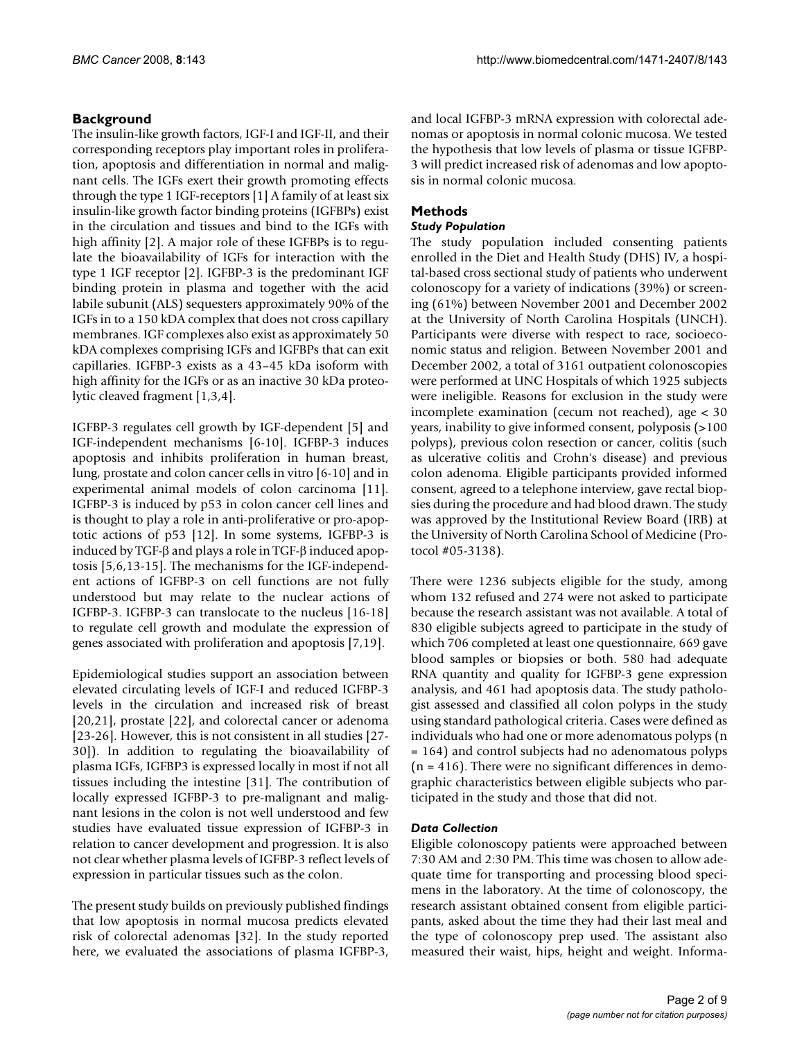## **Background**

The insulin-like growth factors, IGF-I and IGF-II, and their corresponding receptors play important roles in proliferation, apoptosis and differentiation in normal and malignant cells. The IGFs exert their growth promoting effects through the type 1 IGF-receptors [1] A family of at least six insulin-like growth factor binding proteins (IGFBPs) exist in the circulation and tissues and bind to the IGFs with high affinity [2]. A major role of these IGFBPs is to regulate the bioavailability of IGFs for interaction with the type 1 IGF receptor [2]. IGFBP-3 is the predominant IGF binding protein in plasma and together with the acid labile subunit (ALS) sequesters approximately 90% of the IGFs in to a 150 kDA complex that does not cross capillary membranes. IGF complexes also exist as approximately 50 kDA complexes comprising IGFs and IGFBPs that can exit capillaries. IGFBP-3 exists as a 43–45 kDa isoform with high affinity for the IGFs or as an inactive 30 kDa proteolytic cleaved fragment [1,3,4].

IGFBP-3 regulates cell growth by IGF-dependent [5] and IGF-independent mechanisms [6-10]. IGFBP-3 induces apoptosis and inhibits proliferation in human breast, lung, prostate and colon cancer cells in vitro [6-10] and in experimental animal models of colon carcinoma [11]. IGFBP-3 is induced by p53 in colon cancer cell lines and is thought to play a role in anti-proliferative or pro-apoptotic actions of p53 [12]. In some systems, IGFBP-3 is induced by TGF-β and plays a role in TGF-β induced apoptosis [5,6,13-15]. The mechanisms for the IGF-independent actions of IGFBP-3 on cell functions are not fully understood but may relate to the nuclear actions of IGFBP-3. IGFBP-3 can translocate to the nucleus [16-18] to regulate cell growth and modulate the expression of genes associated with proliferation and apoptosis [7,19].

Epidemiological studies support an association between elevated circulating levels of IGF-I and reduced IGFBP-3 levels in the circulation and increased risk of breast [20,21], prostate [22], and colorectal cancer or adenoma [23-26]. However, this is not consistent in all studies [27- 30]). In addition to regulating the bioavailability of plasma IGFs, IGFBP3 is expressed locally in most if not all tissues including the intestine [31]. The contribution of locally expressed IGFBP-3 to pre-malignant and malignant lesions in the colon is not well understood and few studies have evaluated tissue expression of IGFBP-3 in relation to cancer development and progression. It is also not clear whether plasma levels of IGFBP-3 reflect levels of expression in particular tissues such as the colon.

The present study builds on previously published findings that low apoptosis in normal mucosa predicts elevated risk of colorectal adenomas [32]. In the study reported here, we evaluated the associations of plasma IGFBP-3,

and local IGFBP-3 mRNA expression with colorectal adenomas or apoptosis in normal colonic mucosa. We tested the hypothesis that low levels of plasma or tissue IGFBP-3 will predict increased risk of adenomas and low apoptosis in normal colonic mucosa.

## **Methods**

## *Study Population*

The study population included consenting patients enrolled in the Diet and Health Study (DHS) IV, a hospital-based cross sectional study of patients who underwent colonoscopy for a variety of indications (39%) or screening (61%) between November 2001 and December 2002 at the University of North Carolina Hospitals (UNCH). Participants were diverse with respect to race, socioeconomic status and religion. Between November 2001 and December 2002, a total of 3161 outpatient colonoscopies were performed at UNC Hospitals of which 1925 subjects were ineligible. Reasons for exclusion in the study were incomplete examination (cecum not reached), age < 30 years, inability to give informed consent, polyposis (>100 polyps), previous colon resection or cancer, colitis (such as ulcerative colitis and Crohn's disease) and previous colon adenoma. Eligible participants provided informed consent, agreed to a telephone interview, gave rectal biopsies during the procedure and had blood drawn. The study was approved by the Institutional Review Board (IRB) at the University of North Carolina School of Medicine (Protocol #05-3138).

There were 1236 subjects eligible for the study, among whom 132 refused and 274 were not asked to participate because the research assistant was not available. A total of 830 eligible subjects agreed to participate in the study of which 706 completed at least one questionnaire, 669 gave blood samples or biopsies or both. 580 had adequate RNA quantity and quality for IGFBP-3 gene expression analysis, and 461 had apoptosis data. The study pathologist assessed and classified all colon polyps in the study using standard pathological criteria. Cases were defined as individuals who had one or more adenomatous polyps (n = 164) and control subjects had no adenomatous polyps  $(n = 416)$ . There were no significant differences in demographic characteristics between eligible subjects who participated in the study and those that did not.

## *Data Collection*

Eligible colonoscopy patients were approached between 7:30 AM and 2:30 PM. This time was chosen to allow adequate time for transporting and processing blood specimens in the laboratory. At the time of colonoscopy, the research assistant obtained consent from eligible participants, asked about the time they had their last meal and the type of colonoscopy prep used. The assistant also measured their waist, hips, height and weight. Informa-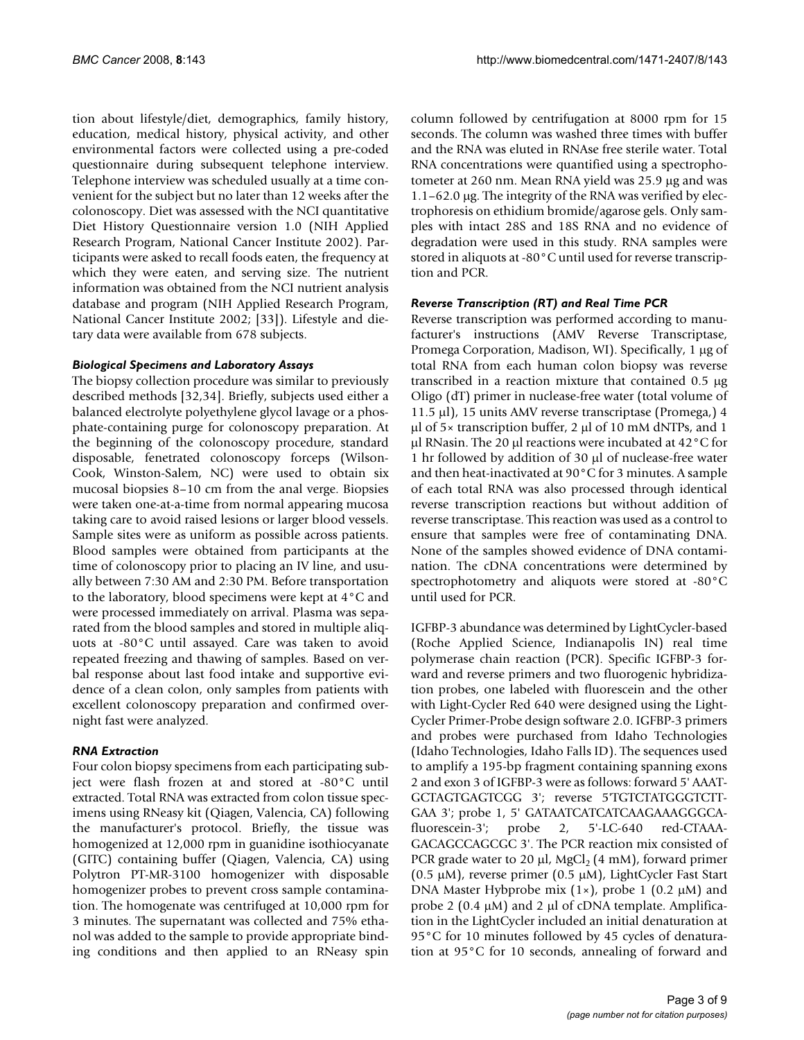tion about lifestyle/diet, demographics, family history, education, medical history, physical activity, and other environmental factors were collected using a pre-coded questionnaire during subsequent telephone interview. Telephone interview was scheduled usually at a time convenient for the subject but no later than 12 weeks after the colonoscopy. Diet was assessed with the NCI quantitative Diet History Questionnaire version 1.0 (NIH Applied Research Program, National Cancer Institute 2002). Participants were asked to recall foods eaten, the frequency at which they were eaten, and serving size. The nutrient information was obtained from the NCI nutrient analysis database and program (NIH Applied Research Program, National Cancer Institute 2002; [33]). Lifestyle and dietary data were available from 678 subjects.

#### *Biological Specimens and Laboratory Assays*

The biopsy collection procedure was similar to previously described methods [32,34]. Briefly, subjects used either a balanced electrolyte polyethylene glycol lavage or a phosphate-containing purge for colonoscopy preparation. At the beginning of the colonoscopy procedure, standard disposable, fenetrated colonoscopy forceps (Wilson-Cook, Winston-Salem, NC) were used to obtain six mucosal biopsies 8–10 cm from the anal verge. Biopsies were taken one-at-a-time from normal appearing mucosa taking care to avoid raised lesions or larger blood vessels. Sample sites were as uniform as possible across patients. Blood samples were obtained from participants at the time of colonoscopy prior to placing an IV line, and usually between 7:30 AM and 2:30 PM. Before transportation to the laboratory, blood specimens were kept at 4°C and were processed immediately on arrival. Plasma was separated from the blood samples and stored in multiple aliquots at -80°C until assayed. Care was taken to avoid repeated freezing and thawing of samples. Based on verbal response about last food intake and supportive evidence of a clean colon, only samples from patients with excellent colonoscopy preparation and confirmed overnight fast were analyzed.

## *RNA Extraction*

Four colon biopsy specimens from each participating subject were flash frozen at and stored at -80°C until extracted. Total RNA was extracted from colon tissue specimens using RNeasy kit (Qiagen, Valencia, CA) following the manufacturer's protocol. Briefly, the tissue was homogenized at 12,000 rpm in guanidine isothiocyanate (GITC) containing buffer (Qiagen, Valencia, CA) using Polytron PT-MR-3100 homogenizer with disposable homogenizer probes to prevent cross sample contamination. The homogenate was centrifuged at 10,000 rpm for 3 minutes. The supernatant was collected and 75% ethanol was added to the sample to provide appropriate binding conditions and then applied to an RNeasy spin column followed by centrifugation at 8000 rpm for 15 seconds. The column was washed three times with buffer and the RNA was eluted in RNAse free sterile water. Total RNA concentrations were quantified using a spectrophotometer at 260 nm. Mean RNA yield was 25.9 μg and was 1.1–62.0 μg. The integrity of the RNA was verified by electrophoresis on ethidium bromide/agarose gels. Only samples with intact 28S and 18S RNA and no evidence of degradation were used in this study. RNA samples were stored in aliquots at -80°C until used for reverse transcription and PCR.

## *Reverse Transcription (RT) and Real Time PCR*

Reverse transcription was performed according to manufacturer's instructions (AMV Reverse Transcriptase, Promega Corporation, Madison, WI). Specifically, 1 μg of total RNA from each human colon biopsy was reverse transcribed in a reaction mixture that contained 0.5 μg Oligo (dT) primer in nuclease-free water (total volume of 11.5 μl), 15 units AMV reverse transcriptase (Promega,) 4 μl of 5× transcription buffer, 2 μl of 10 mM dNTPs, and 1 μl RNasin. The 20 μl reactions were incubated at 42°C for 1 hr followed by addition of 30 μl of nuclease-free water and then heat-inactivated at 90°C for 3 minutes. A sample of each total RNA was also processed through identical reverse transcription reactions but without addition of reverse transcriptase. This reaction was used as a control to ensure that samples were free of contaminating DNA. None of the samples showed evidence of DNA contamination. The cDNA concentrations were determined by spectrophotometry and aliquots were stored at -80°C until used for PCR.

IGFBP-3 abundance was determined by LightCycler-based (Roche Applied Science, Indianapolis IN) real time polymerase chain reaction (PCR). Specific IGFBP-3 forward and reverse primers and two fluorogenic hybridization probes, one labeled with fluorescein and the other with Light-Cycler Red 640 were designed using the Light-Cycler Primer-Probe design software 2.0. IGFBP-3 primers and probes were purchased from Idaho Technologies (Idaho Technologies, Idaho Falls ID). The sequences used to amplify a 195-bp fragment containing spanning exons 2 and exon 3 of IGFBP-3 were as follows: forward 5' AAAT-GCTAGTGAGTCGG 3'; reverse 5'TGTCTATGGGTCTT-GAA 3'; probe 1, 5' GATAATCATCATCAAGAAAGGGCAfluorescein-3'; probe 2, 5'-LC-640 red-CTAAA-GACAGCCAGCGC 3'. The PCR reaction mix consisted of PCR grade water to 20  $\mu$ l, MgCl<sub>2</sub> (4 mM), forward primer (0.5 μM), reverse primer (0.5 μM), LightCycler Fast Start DNA Master Hybprobe mix  $(1\times)$ , probe 1  $(0.2 \mu M)$  and probe 2 (0.4 μM) and 2 μl of cDNA template. Amplification in the LightCycler included an initial denaturation at 95°C for 10 minutes followed by 45 cycles of denaturation at 95°C for 10 seconds, annealing of forward and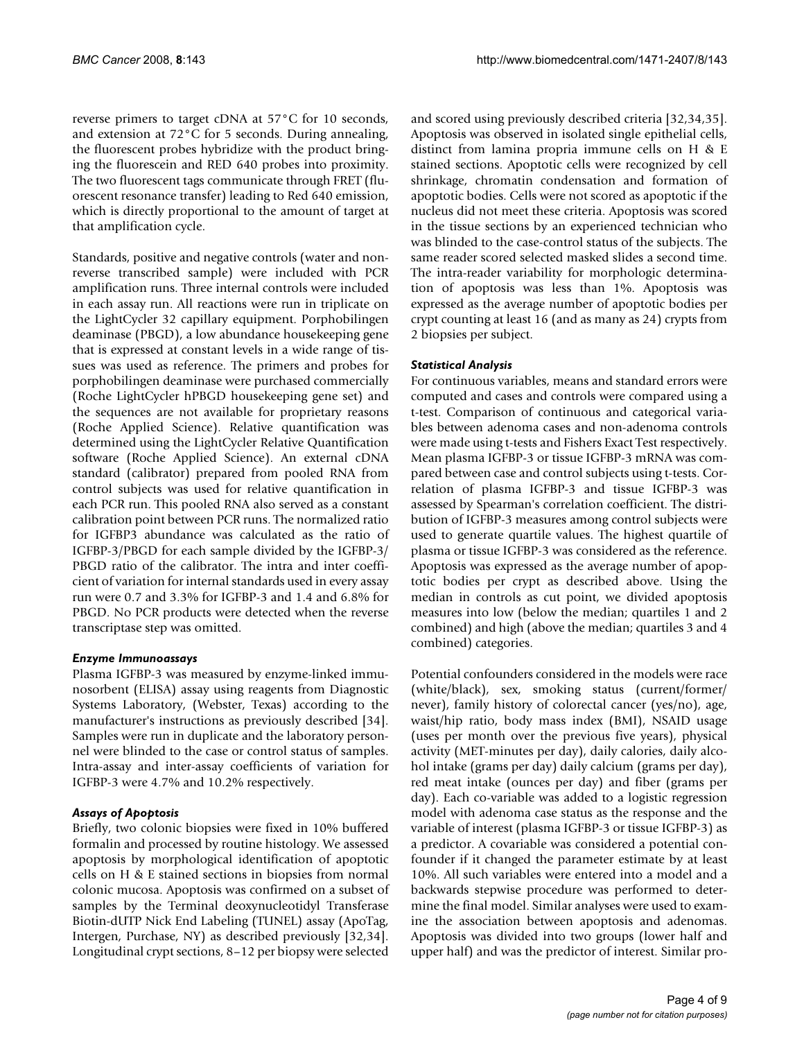reverse primers to target cDNA at 57°C for 10 seconds, and extension at 72°C for 5 seconds. During annealing, the fluorescent probes hybridize with the product bringing the fluorescein and RED 640 probes into proximity. The two fluorescent tags communicate through FRET (fluorescent resonance transfer) leading to Red 640 emission, which is directly proportional to the amount of target at that amplification cycle.

Standards, positive and negative controls (water and nonreverse transcribed sample) were included with PCR amplification runs. Three internal controls were included in each assay run. All reactions were run in triplicate on the LightCycler 32 capillary equipment. Porphobilingen deaminase (PBGD), a low abundance housekeeping gene that is expressed at constant levels in a wide range of tissues was used as reference. The primers and probes for porphobilingen deaminase were purchased commercially (Roche LightCycler hPBGD housekeeping gene set) and the sequences are not available for proprietary reasons (Roche Applied Science). Relative quantification was determined using the LightCycler Relative Quantification software (Roche Applied Science). An external cDNA standard (calibrator) prepared from pooled RNA from control subjects was used for relative quantification in each PCR run. This pooled RNA also served as a constant calibration point between PCR runs. The normalized ratio for IGFBP3 abundance was calculated as the ratio of IGFBP-3/PBGD for each sample divided by the IGFBP-3/ PBGD ratio of the calibrator. The intra and inter coefficient of variation for internal standards used in every assay run were 0.7 and 3.3% for IGFBP-3 and 1.4 and 6.8% for PBGD. No PCR products were detected when the reverse transcriptase step was omitted.

#### *Enzyme Immunoassays*

Plasma IGFBP-3 was measured by enzyme-linked immunosorbent (ELISA) assay using reagents from Diagnostic Systems Laboratory, (Webster, Texas) according to the manufacturer's instructions as previously described [34]. Samples were run in duplicate and the laboratory personnel were blinded to the case or control status of samples. Intra-assay and inter-assay coefficients of variation for IGFBP-3 were 4.7% and 10.2% respectively.

#### *Assays of Apoptosis*

Briefly, two colonic biopsies were fixed in 10% buffered formalin and processed by routine histology. We assessed apoptosis by morphological identification of apoptotic cells on H & E stained sections in biopsies from normal colonic mucosa. Apoptosis was confirmed on a subset of samples by the Terminal deoxynucleotidyl Transferase Biotin-dUTP Nick End Labeling (TUNEL) assay (ApoTag, Intergen, Purchase, NY) as described previously [32,34]. Longitudinal crypt sections, 8–12 per biopsy were selected

and scored using previously described criteria [32,34,35]. Apoptosis was observed in isolated single epithelial cells, distinct from lamina propria immune cells on H & E stained sections. Apoptotic cells were recognized by cell shrinkage, chromatin condensation and formation of apoptotic bodies. Cells were not scored as apoptotic if the nucleus did not meet these criteria. Apoptosis was scored in the tissue sections by an experienced technician who was blinded to the case-control status of the subjects. The same reader scored selected masked slides a second time. The intra-reader variability for morphologic determination of apoptosis was less than 1%. Apoptosis was expressed as the average number of apoptotic bodies per crypt counting at least 16 (and as many as 24) crypts from 2 biopsies per subject.

#### *Statistical Analysis*

For continuous variables, means and standard errors were computed and cases and controls were compared using a t-test. Comparison of continuous and categorical variables between adenoma cases and non-adenoma controls were made using t-tests and Fishers Exact Test respectively. Mean plasma IGFBP-3 or tissue IGFBP-3 mRNA was compared between case and control subjects using t-tests. Correlation of plasma IGFBP-3 and tissue IGFBP-3 was assessed by Spearman's correlation coefficient. The distribution of IGFBP-3 measures among control subjects were used to generate quartile values. The highest quartile of plasma or tissue IGFBP-3 was considered as the reference. Apoptosis was expressed as the average number of apoptotic bodies per crypt as described above. Using the median in controls as cut point, we divided apoptosis measures into low (below the median; quartiles 1 and 2 combined) and high (above the median; quartiles 3 and 4 combined) categories.

Potential confounders considered in the models were race (white/black), sex, smoking status (current/former/ never), family history of colorectal cancer (yes/no), age, waist/hip ratio, body mass index (BMI), NSAID usage (uses per month over the previous five years), physical activity (MET-minutes per day), daily calories, daily alcohol intake (grams per day) daily calcium (grams per day), red meat intake (ounces per day) and fiber (grams per day). Each co-variable was added to a logistic regression model with adenoma case status as the response and the variable of interest (plasma IGFBP-3 or tissue IGFBP-3) as a predictor. A covariable was considered a potential confounder if it changed the parameter estimate by at least 10%. All such variables were entered into a model and a backwards stepwise procedure was performed to determine the final model. Similar analyses were used to examine the association between apoptosis and adenomas. Apoptosis was divided into two groups (lower half and upper half) and was the predictor of interest. Similar pro-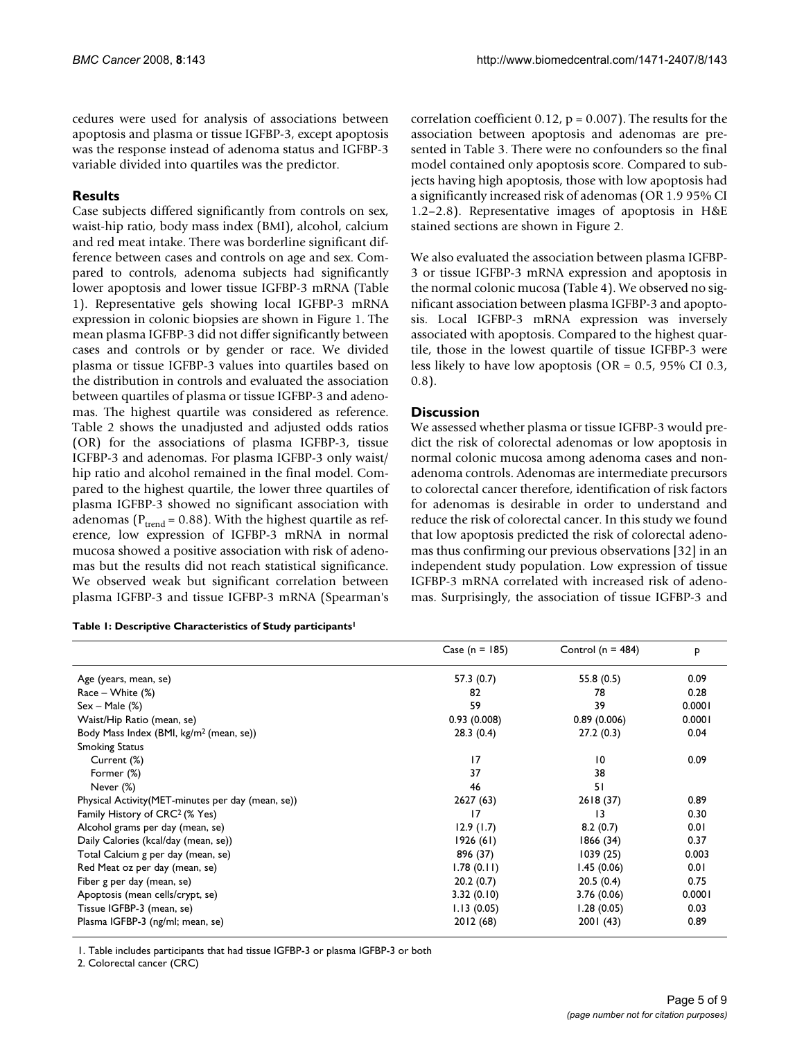cedures were used for analysis of associations between apoptosis and plasma or tissue IGFBP-3, except apoptosis was the response instead of adenoma status and IGFBP-3 variable divided into quartiles was the predictor.

## **Results**

Case subjects differed significantly from controls on sex, waist-hip ratio, body mass index (BMI), alcohol, calcium and red meat intake. There was borderline significant difference between cases and controls on age and sex. Compared to controls, adenoma subjects had significantly lower apoptosis and lower tissue IGFBP-3 mRNA (Table 1). Representative gels showing local IGFBP-3 mRNA expression in colonic biopsies are shown in Figure 1. The mean plasma IGFBP-3 did not differ significantly between cases and controls or by gender or race. We divided plasma or tissue IGFBP-3 values into quartiles based on the distribution in controls and evaluated the association between quartiles of plasma or tissue IGFBP-3 and adenomas. The highest quartile was considered as reference. Table 2 shows the unadjusted and adjusted odds ratios (OR) for the associations of plasma IGFBP-3, tissue IGFBP-3 and adenomas. For plasma IGFBP-3 only waist/ hip ratio and alcohol remained in the final model. Compared to the highest quartile, the lower three quartiles of plasma IGFBP-3 showed no significant association with adenomas ( $P_{trend}$  = 0.88). With the highest quartile as reference, low expression of IGFBP-3 mRNA in normal mucosa showed a positive association with risk of adenomas but the results did not reach statistical significance. We observed weak but significant correlation between plasma IGFBP-3 and tissue IGFBP-3 mRNA (Spearman's

**Table 1: Descriptive Characteristics of Study participants1**

correlation coefficient  $0.12$ ,  $p = 0.007$ ). The results for the association between apoptosis and adenomas are presented in Table 3. There were no confounders so the final model contained only apoptosis score. Compared to subjects having high apoptosis, those with low apoptosis had a significantly increased risk of adenomas (OR 1.9 95% CI 1.2–2.8). Representative images of apoptosis in H&E stained sections are shown in Figure 2.

We also evaluated the association between plasma IGFBP-3 or tissue IGFBP-3 mRNA expression and apoptosis in the normal colonic mucosa (Table 4). We observed no significant association between plasma IGFBP-3 and apoptosis. Local IGFBP-3 mRNA expression was inversely associated with apoptosis. Compared to the highest quartile, those in the lowest quartile of tissue IGFBP-3 were less likely to have low apoptosis (OR = 0.5, 95% CI 0.3, 0.8).

## **Discussion**

We assessed whether plasma or tissue IGFBP-3 would predict the risk of colorectal adenomas or low apoptosis in normal colonic mucosa among adenoma cases and nonadenoma controls. Adenomas are intermediate precursors to colorectal cancer therefore, identification of risk factors for adenomas is desirable in order to understand and reduce the risk of colorectal cancer. In this study we found that low apoptosis predicted the risk of colorectal adenomas thus confirming our previous observations [32] in an independent study population. Low expression of tissue IGFBP-3 mRNA correlated with increased risk of adenomas. Surprisingly, the association of tissue IGFBP-3 and

|                                                     | Case ( $n = 185$ ) | Control ( $n = 484$ ) | p      |
|-----------------------------------------------------|--------------------|-----------------------|--------|
| Age (years, mean, se)                               | 57.3(0.7)          | 55.8(0.5)             | 0.09   |
| $Race - White (%)$                                  | 82                 | 78                    | 0.28   |
| $Sex - Male (%)$                                    | 59                 | 39                    | 0.0001 |
| Waist/Hip Ratio (mean, se)                          | 0.93(0.008)        | 0.89(0.006)           | 0.0001 |
| Body Mass Index (BMI, kg/m <sup>2</sup> (mean, se)) | 28.3(0.4)          | 27.2(0.3)             | 0.04   |
| <b>Smoking Status</b>                               |                    |                       |        |
| Current (%)                                         | 17                 | 10                    | 0.09   |
| Former (%)                                          | 37                 | 38                    |        |
| Never (%)                                           | 46                 | 51                    |        |
| Physical Activity (MET-minutes per day (mean, se))  | 2627 (63)          | 2618(37)              | 0.89   |
| Family History of CRC <sup>2</sup> (% Yes)          | 17                 | $\overline{13}$       | 0.30   |
| Alcohol grams per day (mean, se)                    | 12.9(1.7)          | 8.2(0.7)              | 0.01   |
| Daily Calories (kcal/day (mean, se))                | 1926(61)           | 1866 (34)             | 0.37   |
| Total Calcium g per day (mean, se)                  | 896 (37)           | 1039(25)              | 0.003  |
| Red Meat oz per day (mean, se)                      | 1.78(0.11)         | 1.45(0.06)            | 0.01   |
| Fiber g per day (mean, se)                          | 20.2(0.7)          | 20.5(0.4)             | 0.75   |
| Apoptosis (mean cells/crypt, se)                    | 3.32(0.10)         | 3.76(0.06)            | 0.0001 |
| Tissue IGFBP-3 (mean, se)                           | 1.13(0.05)         | 1.28(0.05)            | 0.03   |
| Plasma IGFBP-3 (ng/ml; mean, se)                    | 2012(68)           | 2001 (43)             | 0.89   |

1. Table includes participants that had tissue IGFBP-3 or plasma IGFBP-3 or both

2. Colorectal cancer (CRC)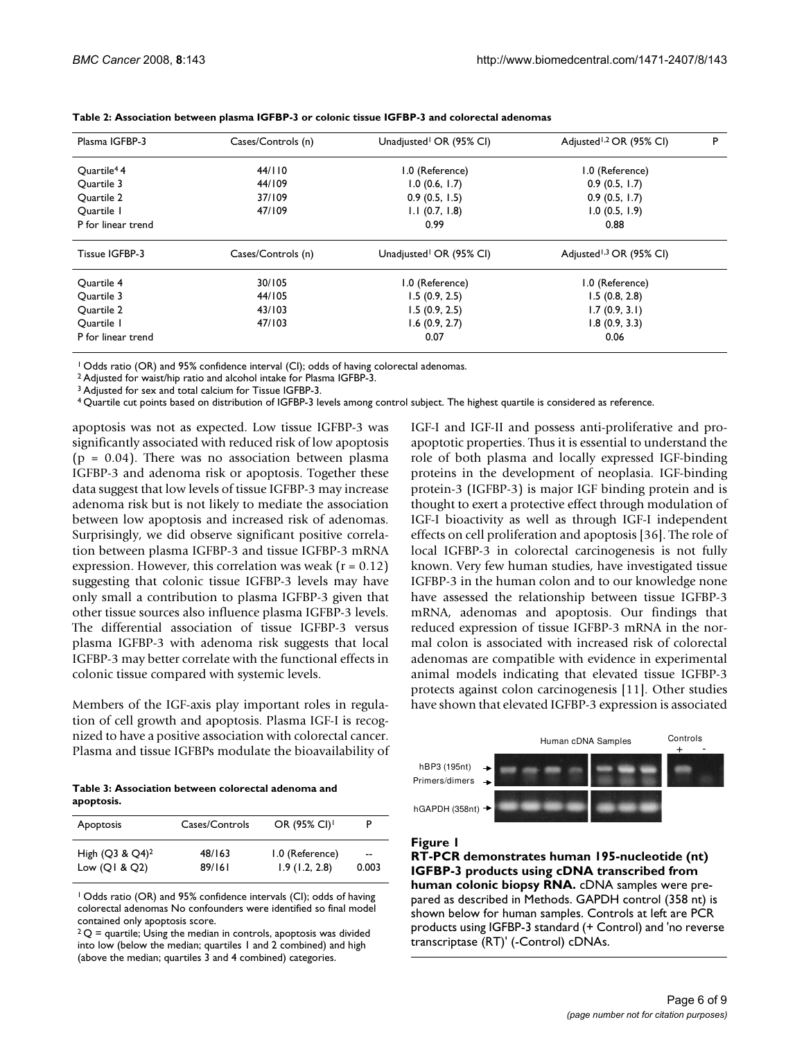| Plasma IGFBP-3          | Cases/Controls (n) | Unadjusted <sup>1</sup> OR (95% CI) | Adjusted <sup>1,2</sup> OR (95% CI) | P |
|-------------------------|--------------------|-------------------------------------|-------------------------------------|---|
| Ouartile <sup>4</sup> 4 | 44/110             | 1.0 (Reference)                     | 1.0 (Reference)                     |   |
| Ouartile 3              | 44/109             | 1.0(0.6, 1.7)                       | 0.9(0.5, 1.7)                       |   |
| Quartile 2              | 37/109             | 0.9(0.5, 1.5)                       | 0.9(0.5, 1.7)                       |   |
| Ouartile I              | 47/109             | $1.1$ (0.7, 1.8)                    | 1.0(0.5, 1.9)                       |   |
| P for linear trend      |                    | 0.99                                | 0.88                                |   |
| Tissue IGFBP-3          | Cases/Controls (n) | Unadjusted <sup>1</sup> OR (95% CI) | Adjusted <sup>1,3</sup> OR (95% CI) |   |
| Ouartile 4              | 30/105             | 1.0 (Reference)                     | 1.0 (Reference)                     |   |
| Ouartile 3              | 44/105             | 1.5(0.9, 2.5)                       | 1.5(0.8, 2.8)                       |   |
| Quartile 2              | 43/103             | 1.5(0.9, 2.5)                       | 1.7(0.9, 3.1)                       |   |
| Ouartile I              | 47/103             | 1.6(0.9, 2.7)                       | 1.8(0.9, 3.3)                       |   |
| P for linear trend      |                    | 0.07                                | 0.06                                |   |

**Table 2: Association between plasma IGFBP-3 or colonic tissue IGFBP-3 and colorectal adenomas**

<sup>1</sup> Odds ratio (OR) and 95% confidence interval (CI); odds of having colorectal adenomas.

2 Adjusted for waist/hip ratio and alcohol intake for Plasma IGFBP-3.

<sup>3</sup> Adjusted for sex and total calcium for Tissue IGFBP-3.

4 Quartile cut points based on distribution of IGFBP-3 levels among control subject. The highest quartile is considered as reference.

apoptosis was not as expected. Low tissue IGFBP-3 was significantly associated with reduced risk of low apoptosis  $(p = 0.04)$ . There was no association between plasma IGFBP-3 and adenoma risk or apoptosis. Together these data suggest that low levels of tissue IGFBP-3 may increase adenoma risk but is not likely to mediate the association between low apoptosis and increased risk of adenomas. Surprisingly, we did observe significant positive correlation between plasma IGFBP-3 and tissue IGFBP-3 mRNA expression. However, this correlation was weak ( $r = 0.12$ ) suggesting that colonic tissue IGFBP-3 levels may have only small a contribution to plasma IGFBP-3 given that other tissue sources also influence plasma IGFBP-3 levels. The differential association of tissue IGFBP-3 versus plasma IGFBP-3 with adenoma risk suggests that local IGFBP-3 may better correlate with the functional effects in colonic tissue compared with systemic levels.

Members of the IGF-axis play important roles in regulation of cell growth and apoptosis. Plasma IGF-I is recognized to have a positive association with colorectal cancer. Plasma and tissue IGFBPs modulate the bioavailability of

**Table 3: Association between colorectal adenoma and apoptosis.**

| Apoptosis          | Cases/Controls | OR (95% CI) <sup>1</sup> |       |
|--------------------|----------------|--------------------------|-------|
| High $(Q3 & Q4)^2$ | 48/163         | 1.0 (Reference)          | --    |
| Low $(QI & Q2)$    | 89/161         | 1.9(1.2, 2.8)            | 0.003 |

1 Odds ratio (OR) and 95% confidence intervals (CI); odds of having colorectal adenomas No confounders were identified so final model contained only apoptosis score.

 $2Q$  = quartile; Using the median in controls, apoptosis was divided into low (below the median; quartiles 1 and 2 combined) and high (above the median; quartiles 3 and 4 combined) categories.

IGF-I and IGF-II and possess anti-proliferative and proapoptotic properties. Thus it is essential to understand the role of both plasma and locally expressed IGF-binding proteins in the development of neoplasia. IGF-binding protein-3 (IGFBP-3) is major IGF binding protein and is thought to exert a protective effect through modulation of IGF-I bioactivity as well as through IGF-I independent effects on cell proliferation and apoptosis [36]. The role of local IGFBP-3 in colorectal carcinogenesis is not fully known. Very few human studies, have investigated tissue IGFBP-3 in the human colon and to our knowledge none have assessed the relationship between tissue IGFBP-3 mRNA, adenomas and apoptosis. Our findings that reduced expression of tissue IGFBP-3 mRNA in the normal colon is associated with increased risk of colorectal adenomas are compatible with evidence in experimental animal models indicating that elevated tissue IGFBP-3 protects against colon carcinogenesis [11]. Other studies have shown that elevated IGFBP-3 expression is associated



#### Figure 1

**RT-PCR demonstrates human 195-nucleotide (nt) IGFBP-3 products using cDNA transcribed from human colonic biopsy RNA.** cDNA samples were prepared as described in Methods. GAPDH control (358 nt) is shown below for human samples. Controls at left are PCR products using IGFBP-3 standard (+ Control) and 'no reverse transcriptase (RT)' (-Control) cDNAs.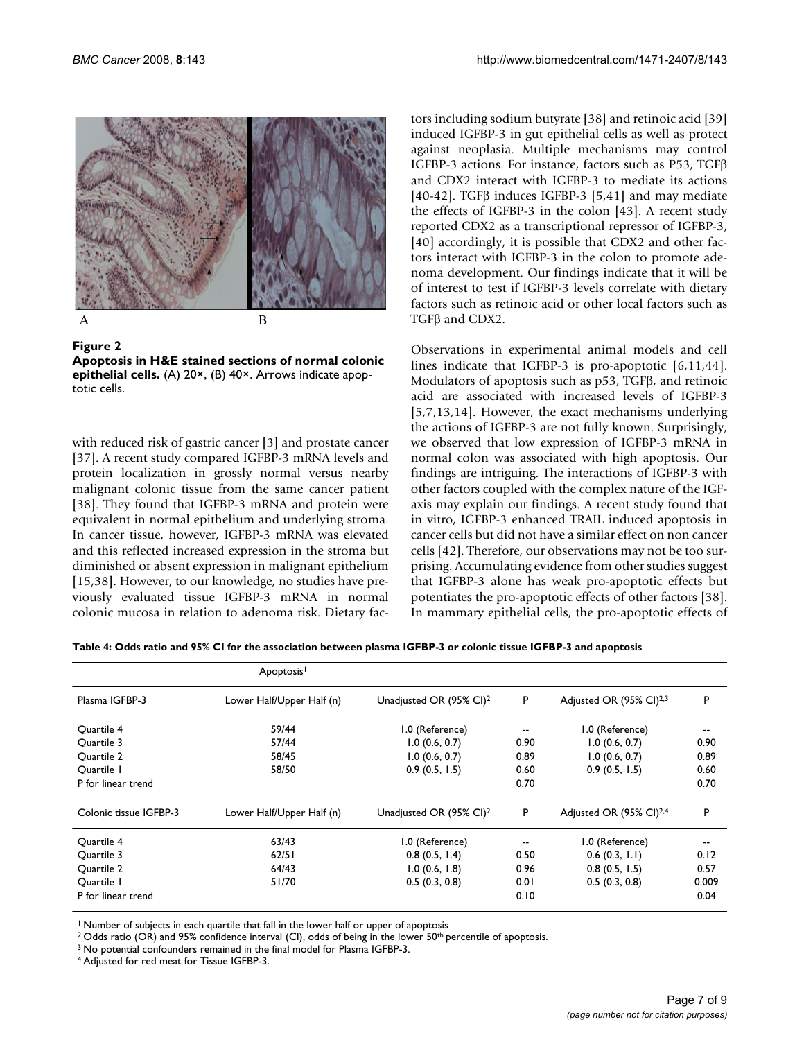

A B

**Figure 2 Apoptosis in H&E stained sections of normal colonic epithelial cells.** (A) 20×, (B) 40×. Arrows indicate apoptotic cells.

with reduced risk of gastric cancer [3] and prostate cancer [37]. A recent study compared IGFBP-3 mRNA levels and protein localization in grossly normal versus nearby malignant colonic tissue from the same cancer patient [38]. They found that IGFBP-3 mRNA and protein were equivalent in normal epithelium and underlying stroma. In cancer tissue, however, IGFBP-3 mRNA was elevated and this reflected increased expression in the stroma but diminished or absent expression in malignant epithelium [15,38]. However, to our knowledge, no studies have previously evaluated tissue IGFBP-3 mRNA in normal colonic mucosa in relation to adenoma risk. Dietary factors including sodium butyrate [38] and retinoic acid [39] induced IGFBP-3 in gut epithelial cells as well as protect against neoplasia. Multiple mechanisms may control IGFBP-3 actions. For instance, factors such as P53, TGFβ and CDX2 interact with IGFBP-3 to mediate its actions [40-42]. TGFβ induces IGFBP-3 [5,41] and may mediate the effects of IGFBP-3 in the colon [43]. A recent study reported CDX2 as a transcriptional repressor of IGFBP-3, [40] accordingly, it is possible that CDX2 and other factors interact with IGFBP-3 in the colon to promote adenoma development. Our findings indicate that it will be of interest to test if IGFBP-3 levels correlate with dietary factors such as retinoic acid or other local factors such as TGFβ and CDX2.

Observations in experimental animal models and cell lines indicate that IGFBP-3 is pro-apoptotic [6,11,44]. Modulators of apoptosis such as p53, TGFβ, and retinoic acid are associated with increased levels of IGFBP-3 [5,7,13,14]. However, the exact mechanisms underlying the actions of IGFBP-3 are not fully known. Surprisingly, we observed that low expression of IGFBP-3 mRNA in normal colon was associated with high apoptosis. Our findings are intriguing. The interactions of IGFBP-3 with other factors coupled with the complex nature of the IGFaxis may explain our findings. A recent study found that in vitro, IGFBP-3 enhanced TRAIL induced apoptosis in cancer cells but did not have a similar effect on non cancer cells [42]. Therefore, our observations may not be too surprising. Accumulating evidence from other studies suggest that IGFBP-3 alone has weak pro-apoptotic effects but potentiates the pro-apoptotic effects of other factors [38]. In mammary epithelial cells, the pro-apoptotic effects of

**Table 4: Odds ratio and 95% CI for the association between plasma IGFBP-3 or colonic tissue IGFBP-3 and apoptosis**

|                        | Apoptosis <sup>1</sup>    |                                     |      |                                     |       |
|------------------------|---------------------------|-------------------------------------|------|-------------------------------------|-------|
| Plasma IGFBP-3         | Lower Half/Upper Half (n) | Unadjusted OR (95% CI) <sup>2</sup> | P    | Adjusted OR (95% CI) <sup>2,3</sup> | P     |
| Ouartile 4             | 59/44                     | 1.0 (Reference)                     |      | 1.0 (Reference)                     | --    |
| Quartile 3             | 57/44                     | 1.0(0.6, 0.7)                       | 0.90 | 1.0(0.6, 0.7)                       | 0.90  |
| Quartile 2             | 58/45                     | 1.0(0.6, 0.7)                       | 0.89 | 1.0(0.6, 0.7)                       | 0.89  |
| Ouartile 1             | 58/50                     | 0.9(0.5, 1.5)                       | 0.60 | 0.9(0.5, 1.5)                       | 0.60  |
| P for linear trend     |                           |                                     | 0.70 |                                     | 0.70  |
| Colonic tissue IGFBP-3 | Lower Half/Upper Half (n) | Unadjusted OR (95% CI) <sup>2</sup> | P    | Adjusted OR (95% CI) <sup>2,4</sup> | P     |
| Ouartile 4             | 63/43                     | 1.0 (Reference)                     |      | 1.0 (Reference)                     | --    |
| Quartile 3             | 62/51                     | 0.8(0.5, 1.4)                       | 0.50 | 0.6(0.3, 1.1)                       | 0.12  |
| Ouartile 2             | 64/43                     | $1.0$ (0.6, 1.8)                    | 0.96 | 0.8(0.5, 1.5)                       | 0.57  |
| Quartile 1             | 51/70                     | 0.5(0.3, 0.8)                       | 0.01 | 0.5(0.3, 0.8)                       | 0.009 |
| P for linear trend     |                           |                                     | 0.10 |                                     | 0.04  |

<sup>1</sup> Number of subjects in each quartile that fall in the lower half or upper of apoptosis

<sup>2</sup> Odds ratio (OR) and 95% confidence interval (CI), odds of being in the lower 50<sup>th</sup> percentile of apoptosis.

3 No potential confounders remained in the final model for Plasma IGFBP-3.

4 Adjusted for red meat for Tissue IGFBP-3.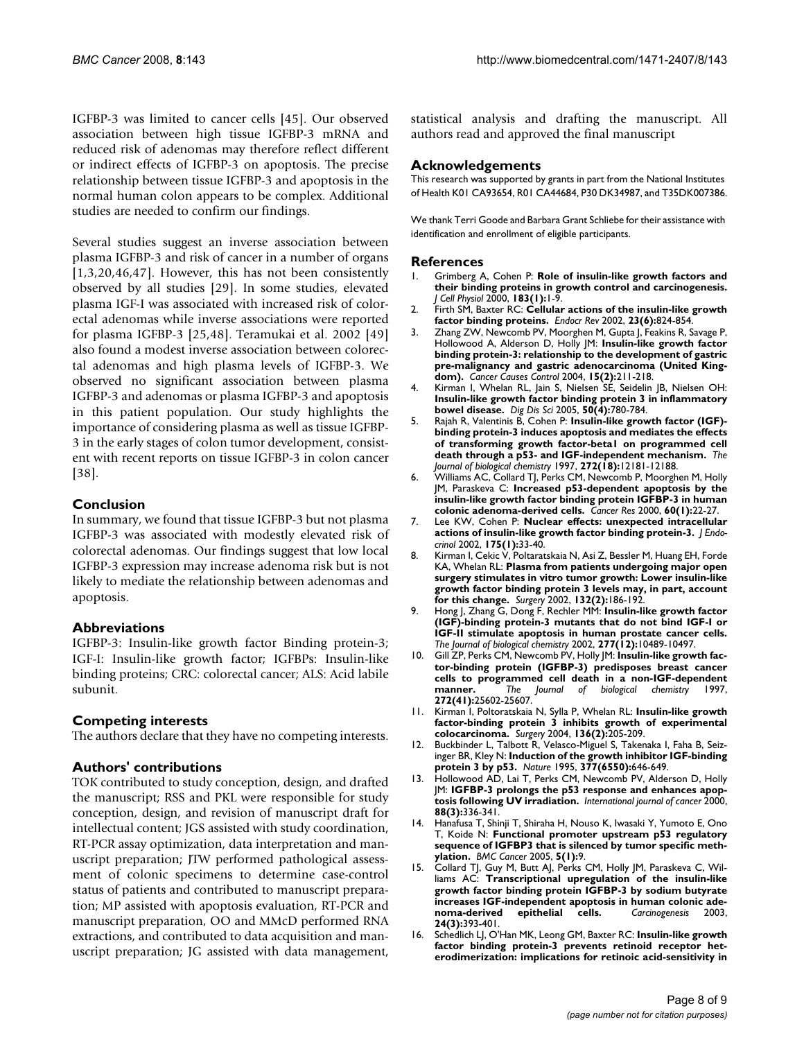IGFBP-3 was limited to cancer cells [45]. Our observed association between high tissue IGFBP-3 mRNA and reduced risk of adenomas may therefore reflect different or indirect effects of IGFBP-3 on apoptosis. The precise relationship between tissue IGFBP-3 and apoptosis in the normal human colon appears to be complex. Additional studies are needed to confirm our findings.

Several studies suggest an inverse association between plasma IGFBP-3 and risk of cancer in a number of organs [1,3,20,46,47]. However, this has not been consistently observed by all studies [29]. In some studies, elevated plasma IGF-I was associated with increased risk of colorectal adenomas while inverse associations were reported for plasma IGFBP-3 [25,48]. Teramukai et al. 2002 [49] also found a modest inverse association between colorectal adenomas and high plasma levels of IGFBP-3. We observed no significant association between plasma IGFBP-3 and adenomas or plasma IGFBP-3 and apoptosis in this patient population. Our study highlights the importance of considering plasma as well as tissue IGFBP-3 in the early stages of colon tumor development, consistent with recent reports on tissue IGFBP-3 in colon cancer [38].

## **Conclusion**

In summary, we found that tissue IGFBP-3 but not plasma IGFBP-3 was associated with modestly elevated risk of colorectal adenomas. Our findings suggest that low local IGFBP-3 expression may increase adenoma risk but is not likely to mediate the relationship between adenomas and apoptosis.

## **Abbreviations**

IGFBP-3: Insulin-like growth factor Binding protein-3; IGF-I: Insulin-like growth factor; IGFBPs: Insulin-like binding proteins; CRC: colorectal cancer; ALS: Acid labile subunit.

## **Competing interests**

The authors declare that they have no competing interests.

## **Authors' contributions**

TOK contributed to study conception, design, and drafted the manuscript; RSS and PKL were responsible for study conception, design, and revision of manuscript draft for intellectual content; JGS assisted with study coordination, RT-PCR assay optimization, data interpretation and manuscript preparation; JTW performed pathological assessment of colonic specimens to determine case-control status of patients and contributed to manuscript preparation; MP assisted with apoptosis evaluation, RT-PCR and manuscript preparation, OO and MMcD performed RNA extractions, and contributed to data acquisition and manuscript preparation; JG assisted with data management,

statistical analysis and drafting the manuscript. All authors read and approved the final manuscript

#### **Acknowledgements**

This research was supported by grants in part from the National Institutes of Health K01 CA93654, R01 CA44684, P30 DK34987, and T35DK007386.

We thank Terri Goode and Barbara Grant Schliebe for their assistance with identification and enrollment of eligible participants.

#### **References**

- 1. Grimberg A, Cohen P: **[Role of insulin-like growth factors and](http://www.ncbi.nlm.nih.gov/entrez/query.fcgi?cmd=Retrieve&db=PubMed&dopt=Abstract&list_uids=10699960) [their binding proteins in growth control and carcinogenesis.](http://www.ncbi.nlm.nih.gov/entrez/query.fcgi?cmd=Retrieve&db=PubMed&dopt=Abstract&list_uids=10699960)** *J Cell Physiol* 2000, **183(1):**1-9.
- 2. Firth SM, Baxter RC: **[Cellular actions of the insulin-like growth](http://www.ncbi.nlm.nih.gov/entrez/query.fcgi?cmd=Retrieve&db=PubMed&dopt=Abstract&list_uids=12466191) [factor binding proteins.](http://www.ncbi.nlm.nih.gov/entrez/query.fcgi?cmd=Retrieve&db=PubMed&dopt=Abstract&list_uids=12466191)** *Endocr Rev* 2002, **23(6):**824-854.
- 3. Zhang ZW, Newcomb PV, Moorghen M, Gupta J, Feakins R, Savage P, Hollowood A, Alderson D, Holly JM: **[Insulin-like growth factor](http://www.ncbi.nlm.nih.gov/entrez/query.fcgi?cmd=Retrieve&db=PubMed&dopt=Abstract&list_uids=15017134) [binding protein-3: relationship to the development of gastric](http://www.ncbi.nlm.nih.gov/entrez/query.fcgi?cmd=Retrieve&db=PubMed&dopt=Abstract&list_uids=15017134) pre-malignancy and gastric adenocarcinoma (United King[dom\).](http://www.ncbi.nlm.nih.gov/entrez/query.fcgi?cmd=Retrieve&db=PubMed&dopt=Abstract&list_uids=15017134)** *Cancer Causes Control* 2004, **15(2):**211-218.
- 4. Kirman I, Whelan RL, Jain S, Nielsen SE, Seidelin JB, Nielsen OH: **[Insulin-like growth factor binding protein 3 in inflammatory](http://www.ncbi.nlm.nih.gov/entrez/query.fcgi?cmd=Retrieve&db=PubMed&dopt=Abstract&list_uids=15844718) [bowel disease.](http://www.ncbi.nlm.nih.gov/entrez/query.fcgi?cmd=Retrieve&db=PubMed&dopt=Abstract&list_uids=15844718)** *Dig Dis Sci* 2005, **50(4):**780-784.
- 5. Rajah R, Valentinis B, Cohen P: **[Insulin-like growth factor \(IGF\)](http://www.ncbi.nlm.nih.gov/entrez/query.fcgi?cmd=Retrieve&db=PubMed&dopt=Abstract&list_uids=9115291) [binding protein-3 induces apoptosis and mediates the effects](http://www.ncbi.nlm.nih.gov/entrez/query.fcgi?cmd=Retrieve&db=PubMed&dopt=Abstract&list_uids=9115291) of transforming growth factor-beta1 on programmed cell [death through a p53- and IGF-independent mechanism.](http://www.ncbi.nlm.nih.gov/entrez/query.fcgi?cmd=Retrieve&db=PubMed&dopt=Abstract&list_uids=9115291)** *The Journal of biological chemistry* 1997, **272(18):**12181-12188.
- 6. Williams AC, Collard TJ, Perks CM, Newcomb P, Moorghen M, Holly JM, Paraskeva C: **[Increased p53-dependent apoptosis by the](http://www.ncbi.nlm.nih.gov/entrez/query.fcgi?cmd=Retrieve&db=PubMed&dopt=Abstract&list_uids=10646845) [insulin-like growth factor binding protein IGFBP-3 in human](http://www.ncbi.nlm.nih.gov/entrez/query.fcgi?cmd=Retrieve&db=PubMed&dopt=Abstract&list_uids=10646845) [colonic adenoma-derived cells.](http://www.ncbi.nlm.nih.gov/entrez/query.fcgi?cmd=Retrieve&db=PubMed&dopt=Abstract&list_uids=10646845)** *Cancer Res* 2000, **60(1):**22-27.
- 7. Lee KW, Cohen P: **[Nuclear effects: unexpected intracellular](http://www.ncbi.nlm.nih.gov/entrez/query.fcgi?cmd=Retrieve&db=PubMed&dopt=Abstract&list_uids=12379488) [actions of insulin-like growth factor binding protein-3.](http://www.ncbi.nlm.nih.gov/entrez/query.fcgi?cmd=Retrieve&db=PubMed&dopt=Abstract&list_uids=12379488)** *J Endocrinol* 2002, **175(1):**33-40.
- 8. Kirman I, Cekic V, Poltaratskaia N, Asi Z, Bessler M, Huang EH, Forde KA, Whelan RL: **[Plasma from patients undergoing major open](http://www.ncbi.nlm.nih.gov/entrez/query.fcgi?cmd=Retrieve&db=PubMed&dopt=Abstract&list_uids=12219010) [surgery stimulates in vitro tumor growth: Lower insulin-like](http://www.ncbi.nlm.nih.gov/entrez/query.fcgi?cmd=Retrieve&db=PubMed&dopt=Abstract&list_uids=12219010) growth factor binding protein 3 levels may, in part, account [for this change.](http://www.ncbi.nlm.nih.gov/entrez/query.fcgi?cmd=Retrieve&db=PubMed&dopt=Abstract&list_uids=12219010)** *Surgery* 2002, **132(2):**186-192.
- 9. Hong J, Zhang G, Dong F, Rechler MM: **[Insulin-like growth factor](http://www.ncbi.nlm.nih.gov/entrez/query.fcgi?cmd=Retrieve&db=PubMed&dopt=Abstract&list_uids=11784719) [\(IGF\)-binding protein-3 mutants that do not bind IGF-I or](http://www.ncbi.nlm.nih.gov/entrez/query.fcgi?cmd=Retrieve&db=PubMed&dopt=Abstract&list_uids=11784719) IGF-II stimulate apoptosis in human prostate cancer cells.** *The Journal of biological chemistry* 2002, **277(12):**10489-10497.
- 10. Gill ZP, Perks CM, Newcomb PV, Holly JM: **[Insulin-like growth fac](http://www.ncbi.nlm.nih.gov/entrez/query.fcgi?cmd=Retrieve&db=PubMed&dopt=Abstract&list_uids=9325280)[tor-binding protein \(IGFBP-3\) predisposes breast cancer](http://www.ncbi.nlm.nih.gov/entrez/query.fcgi?cmd=Retrieve&db=PubMed&dopt=Abstract&list_uids=9325280) cells to programmed cell death in a non-IGF-dependent [manner.](http://www.ncbi.nlm.nih.gov/entrez/query.fcgi?cmd=Retrieve&db=PubMed&dopt=Abstract&list_uids=9325280)** *The Journal of biological chemistry* 1997, **272(41):**25602-25607.
- 11. Kirman I, Poltoratskaia N, Sylla P, Whelan RL: **[Insulin-like growth](http://www.ncbi.nlm.nih.gov/entrez/query.fcgi?cmd=Retrieve&db=PubMed&dopt=Abstract&list_uids=15300181) [factor-binding protein 3 inhibits growth of experimental](http://www.ncbi.nlm.nih.gov/entrez/query.fcgi?cmd=Retrieve&db=PubMed&dopt=Abstract&list_uids=15300181) [colocarcinoma.](http://www.ncbi.nlm.nih.gov/entrez/query.fcgi?cmd=Retrieve&db=PubMed&dopt=Abstract&list_uids=15300181)** *Surgery* 2004, **136(2):**205-209.
- 12. Buckbinder L, Talbott R, Velasco-Miguel S, Takenaka I, Faha B, Seizinger BR, Kley N: **[Induction of the growth inhibitor IGF-binding](http://www.ncbi.nlm.nih.gov/entrez/query.fcgi?cmd=Retrieve&db=PubMed&dopt=Abstract&list_uids=7566179) [protein 3 by p53.](http://www.ncbi.nlm.nih.gov/entrez/query.fcgi?cmd=Retrieve&db=PubMed&dopt=Abstract&list_uids=7566179)** *Nature* 1995, **377(6550):**646-649.
- 13. Hollowood AD, Lai T, Perks CM, Newcomb PV, Alderson D, Holly JM: **IGFBP-3 prolongs the p53 response and enhances apoptosis following UV irradiation.** *International journal of cancer* 2000, **88(3):**336-341.
- 14. Hanafusa T, Shinji T, Shiraha H, Nouso K, Iwasaki Y, Yumoto E, Ono T, Koide N: **[Functional promoter upstream p53 regulatory](http://www.ncbi.nlm.nih.gov/entrez/query.fcgi?cmd=Retrieve&db=PubMed&dopt=Abstract&list_uids=15661074) [sequence of IGFBP3 that is silenced by tumor specific meth](http://www.ncbi.nlm.nih.gov/entrez/query.fcgi?cmd=Retrieve&db=PubMed&dopt=Abstract&list_uids=15661074)[ylation.](http://www.ncbi.nlm.nih.gov/entrez/query.fcgi?cmd=Retrieve&db=PubMed&dopt=Abstract&list_uids=15661074)** *BMC Cancer* 2005, **5(1):**9.
- 15. Collard TJ, Guy M, Butt AJ, Perks CM, Holly JM, Paraskeva C, Williams AC: **[Transcriptional upregulation of the insulin-like](http://www.ncbi.nlm.nih.gov/entrez/query.fcgi?cmd=Retrieve&db=PubMed&dopt=Abstract&list_uids=12663497) [growth factor binding protein IGFBP-3 by sodium butyrate](http://www.ncbi.nlm.nih.gov/entrez/query.fcgi?cmd=Retrieve&db=PubMed&dopt=Abstract&list_uids=12663497)** increases IGF-independent apoptosis in human colonic ade-<br>noma-derived epithelial cells. *Carcinogenesis* 2003, **[noma-derived epithelial cells.](http://www.ncbi.nlm.nih.gov/entrez/query.fcgi?cmd=Retrieve&db=PubMed&dopt=Abstract&list_uids=12663497)** *Carcinogenesis* 2003, **24(3):**393-401.
- 16. Schedlich LJ, O'Han MK, Leong GM, Baxter RC: **[Insulin-like growth](http://www.ncbi.nlm.nih.gov/entrez/query.fcgi?cmd=Retrieve&db=PubMed&dopt=Abstract&list_uids=14715249) [factor binding protein-3 prevents retinoid receptor het](http://www.ncbi.nlm.nih.gov/entrez/query.fcgi?cmd=Retrieve&db=PubMed&dopt=Abstract&list_uids=14715249)[erodimerization: implications for retinoic acid-sensitivity in](http://www.ncbi.nlm.nih.gov/entrez/query.fcgi?cmd=Retrieve&db=PubMed&dopt=Abstract&list_uids=14715249)**